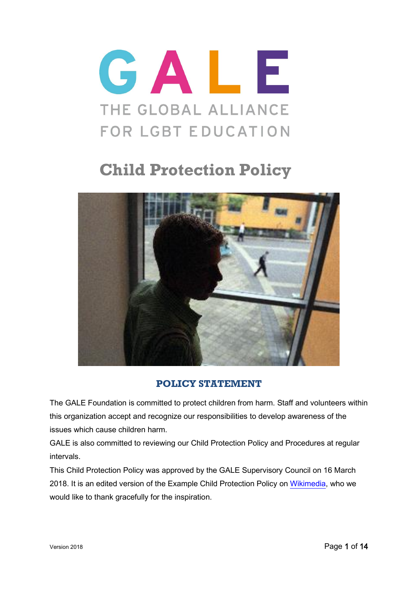

# **Child Protection Policy**



## **POLICY STATEMENT**

<span id="page-0-0"></span>The GALE Foundation is committed to protect children from harm. Staff and volunteers within this organization accept and recognize our responsibilities to develop awareness of the issues which cause children harm.

GALE is also committed to reviewing our Child Protection Policy and Procedures at regular intervals.

This Child Protection Policy was approved by the GALE Supervisory Council on 16 March 2018. It is an edited version of the Example Child Protection Policy on [Wikimedia,](https://wikimedia.org.uk/wiki/Example_child_protection_policy) who we would like to thank gracefully for the inspiration.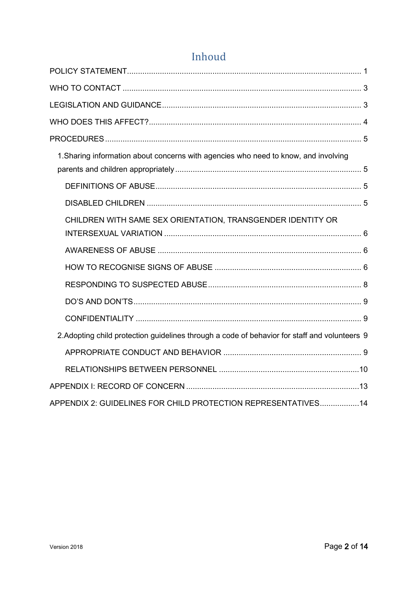| 1. Sharing information about concerns with agencies who need to know, and involving           |  |
|-----------------------------------------------------------------------------------------------|--|
|                                                                                               |  |
|                                                                                               |  |
|                                                                                               |  |
| CHILDREN WITH SAME SEX ORIENTATION, TRANSGENDER IDENTITY OR                                   |  |
|                                                                                               |  |
|                                                                                               |  |
|                                                                                               |  |
|                                                                                               |  |
|                                                                                               |  |
|                                                                                               |  |
| 2. Adopting child protection guidelines through a code of behavior for staff and volunteers 9 |  |
|                                                                                               |  |
|                                                                                               |  |
|                                                                                               |  |
| APPENDIX 2: GUIDELINES FOR CHILD PROTECTION REPRESENTATIVES 14                                |  |

## Inhoud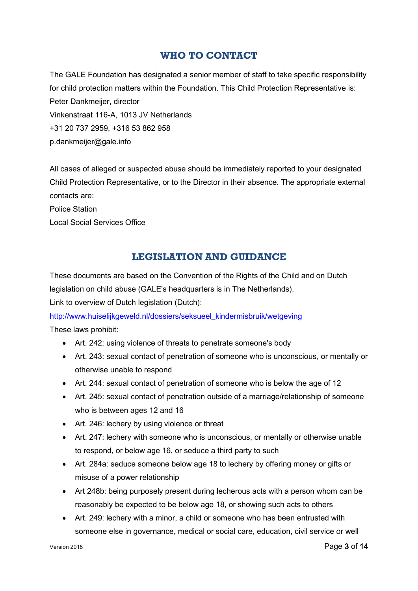### **WHO TO CONTACT**

<span id="page-2-0"></span>The GALE Foundation has designated a senior member of staff to take specific responsibility for child protection matters within the Foundation. This Child Protection Representative is: Peter Dankmeijer, director Vinkenstraat 116-A, 1013 JV Netherlands +31 20 737 2959, +316 53 862 958 p.dankmeijer@gale.info

All cases of alleged or suspected abuse should be immediately reported to your designated Child Protection Representative, or to the Director in their absence. The appropriate external contacts are:

#### Police Station

<span id="page-2-1"></span>Local Social Services Office

## **LEGISLATION AND GUIDANCE**

These documents are based on the Convention of the Rights of the Child and on Dutch legislation on child abuse (GALE's headquarters is in The Netherlands). Link to overview of Dutch legislation (Dutch):

[http://www.huiselijkgeweld.nl/dossiers/seksueel\\_kindermisbruik/wetgeving](http://www.huiselijkgeweld.nl/dossiers/seksueel_kindermisbruik/wetgeving) These laws prohibit:

- Art. 242: using violence of threats to penetrate someone's body
- Art. 243: sexual contact of penetration of someone who is unconscious, or mentally or otherwise unable to respond
- Art. 244: sexual contact of penetration of someone who is below the age of 12
- Art. 245: sexual contact of penetration outside of a marriage/relationship of someone who is between ages 12 and 16
- Art. 246: lechery by using violence or threat
- Art. 247: lechery with someone who is unconscious, or mentally or otherwise unable to respond, or below age 16, or seduce a third party to such
- Art. 284a: seduce someone below age 18 to lechery by offering money or gifts or misuse of a power relationship
- Art 248b: being purposely present during lecherous acts with a person whom can be reasonably be expected to be below age 18, or showing such acts to others
- Art. 249: lechery with a minor, a child or someone who has been entrusted with someone else in governance, medical or social care, education, civil service or well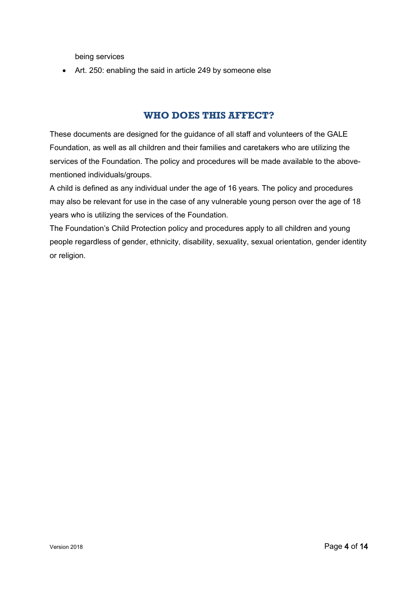being services

• Art. 250: enabling the said in article 249 by someone else

## **WHO DOES THIS AFFECT?**

<span id="page-3-0"></span>These documents are designed for the guidance of all staff and volunteers of the GALE Foundation, as well as all children and their families and caretakers who are utilizing the services of the Foundation. The policy and procedures will be made available to the abovementioned individuals/groups.

A child is defined as any individual under the age of 16 years. The policy and procedures may also be relevant for use in the case of any vulnerable young person over the age of 18 years who is utilizing the services of the Foundation.

The Foundation's Child Protection policy and procedures apply to all children and young people regardless of gender, ethnicity, disability, sexuality, sexual orientation, gender identity or religion.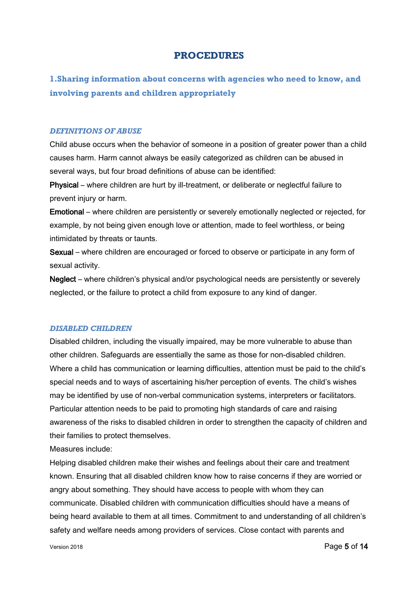#### **PROCEDURES**

<span id="page-4-1"></span><span id="page-4-0"></span>**1.Sharing information about concerns with agencies who need to know, and involving parents and children appropriately**

#### <span id="page-4-2"></span>*DEFINITIONS OF ABUSE*

Child abuse occurs when the behavior of someone in a position of greater power than a child causes harm. Harm cannot always be easily categorized as children can be abused in several ways, but four broad definitions of abuse can be identified:

Physical – where children are hurt by ill-treatment, or deliberate or neglectful failure to prevent injury or harm.

Emotional – where children are persistently or severely emotionally neglected or rejected, for example, by not being given enough love or attention, made to feel worthless, or being intimidated by threats or taunts.

Sexual – where children are encouraged or forced to observe or participate in any form of sexual activity.

Neglect – where children's physical and/or psychological needs are persistently or severely neglected, or the failure to protect a child from exposure to any kind of danger.

#### <span id="page-4-3"></span>*DISABLED CHILDREN*

Disabled children, including the visually impaired, may be more vulnerable to abuse than other children. Safeguards are essentially the same as those for non-disabled children. Where a child has communication or learning difficulties, attention must be paid to the child's special needs and to ways of ascertaining his/her perception of events. The child's wishes may be identified by use of non-verbal communication systems, interpreters or facilitators. Particular attention needs to be paid to promoting high standards of care and raising awareness of the risks to disabled children in order to strengthen the capacity of children and their families to protect themselves.

Measures include:

Helping disabled children make their wishes and feelings about their care and treatment known. Ensuring that all disabled children know how to raise concerns if they are worried or angry about something. They should have access to people with whom they can communicate. Disabled children with communication difficulties should have a means of being heard available to them at all times. Commitment to and understanding of all children's safety and welfare needs among providers of services. Close contact with parents and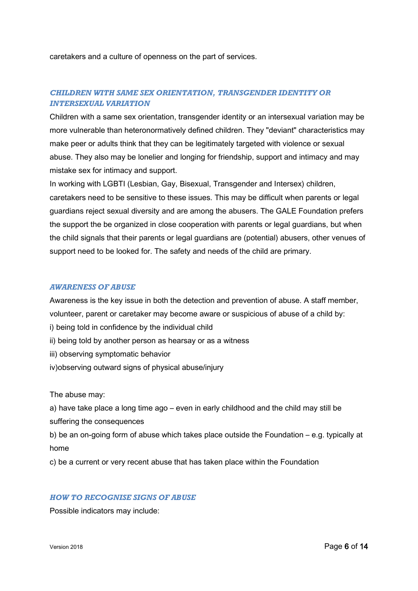caretakers and a culture of openness on the part of services.

#### <span id="page-5-0"></span>*CHILDREN WITH SAME SEX ORIENTATION, TRANSGENDER IDENTITY OR INTERSEXUAL VARIATION*

Children with a same sex orientation, transgender identity or an intersexual variation may be more vulnerable than heteronormatively defined children. They "deviant" characteristics may make peer or adults think that they can be legitimately targeted with violence or sexual abuse. They also may be lonelier and longing for friendship, support and intimacy and may mistake sex for intimacy and support.

In working with LGBTI (Lesbian, Gay, Bisexual, Transgender and Intersex) children, caretakers need to be sensitive to these issues. This may be difficult when parents or legal guardians reject sexual diversity and are among the abusers. The GALE Foundation prefers the support the be organized in close cooperation with parents or legal guardians, but when the child signals that their parents or legal guardians are (potential) abusers, other venues of support need to be looked for. The safety and needs of the child are primary.

#### <span id="page-5-1"></span>*AWARENESS OF ABUSE*

Awareness is the key issue in both the detection and prevention of abuse. A staff member, volunteer, parent or caretaker may become aware or suspicious of abuse of a child by:

- i) being told in confidence by the individual child
- ii) being told by another person as hearsay or as a witness
- iii) observing symptomatic behavior
- iv)observing outward signs of physical abuse/injury

The abuse may:

a) have take place a long time ago – even in early childhood and the child may still be suffering the consequences

b) be an on-going form of abuse which takes place outside the Foundation – e.g. typically at home

c) be a current or very recent abuse that has taken place within the Foundation

#### <span id="page-5-2"></span>*HOW TO RECOGNISE SIGNS OF ABUSE*

Possible indicators may include: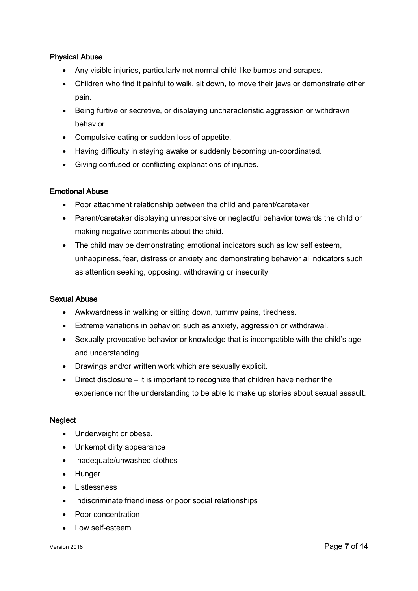#### Physical Abuse

- Any visible injuries, particularly not normal child-like bumps and scrapes.
- Children who find it painful to walk, sit down, to move their jaws or demonstrate other pain.
- Being furtive or secretive, or displaying uncharacteristic aggression or withdrawn behavior.
- Compulsive eating or sudden loss of appetite.
- Having difficulty in staying awake or suddenly becoming un-coordinated.
- Giving confused or conflicting explanations of injuries.

#### Emotional Abuse

- Poor attachment relationship between the child and parent/caretaker.
- Parent/caretaker displaying unresponsive or neglectful behavior towards the child or making negative comments about the child.
- The child may be demonstrating emotional indicators such as low self esteem, unhappiness, fear, distress or anxiety and demonstrating behavior al indicators such as attention seeking, opposing, withdrawing or insecurity.

#### Sexual Abuse

- Awkwardness in walking or sitting down, tummy pains, tiredness.
- Extreme variations in behavior; such as anxiety, aggression or withdrawal.
- Sexually provocative behavior or knowledge that is incompatible with the child's age and understanding.
- Drawings and/or written work which are sexually explicit.
- Direct disclosure it is important to recognize that children have neither the experience nor the understanding to be able to make up stories about sexual assault.

#### **Neglect**

- Underweight or obese.
- Unkempt dirty appearance
- Inadequate/unwashed clothes
- Hunger
- Listlessness
- Indiscriminate friendliness or poor social relationships
- Poor concentration
- Low self-esteem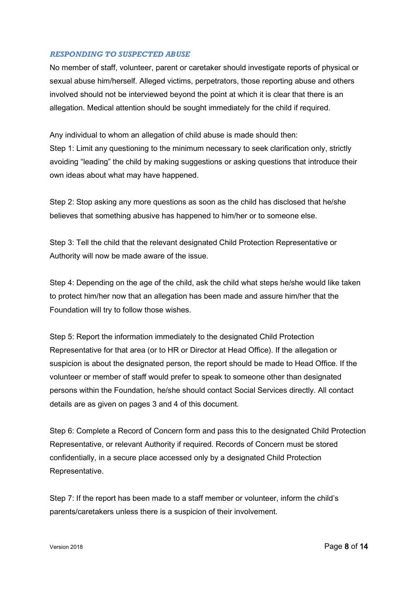#### <span id="page-7-0"></span>*RESPONDING TO SUSPECTED ABUSE*

No member of staff, volunteer, parent or caretaker should investigate reports of physical or sexual abuse him/herself. Alleged victims, perpetrators, those reporting abuse and others involved should not be interviewed beyond the point at which it is clear that there is an allegation. Medical attention should be sought immediately for the child if required.

Any individual to whom an allegation of child abuse is made should then: Step 1: Limit any questioning to the minimum necessary to seek clarification only, strictly avoiding "leading" the child by making suggestions or asking questions that introduce their own ideas about what may have happened.

Step 2: Stop asking any more questions as soon as the child has disclosed that he/she believes that something abusive has happened to him/her or to someone else.

Step 3: Tell the child that the relevant designated Child Protection Representative or Authority will now be made aware of the issue.

Step 4: Depending on the age of the child, ask the child what steps he/she would like taken to protect him/her now that an allegation has been made and assure him/her that the Foundation will try to follow those wishes.

Step 5: Report the information immediately to the designated Child Protection Representative for that area (or to HR or Director at Head Office). If the allegation or suspicion is about the designated person, the report should be made to Head Office. If the volunteer or member of staff would prefer to speak to someone other than designated persons within the Foundation, he/she should contact Social Services directly. All contact details are as given on pages 3 and 4 of this document.

Step 6: Complete a Record of Concern form and pass this to the designated Child Protection Representative, or relevant Authority if required. Records of Concern must be stored confidentially, in a secure place accessed only by a designated Child Protection Representative.

Step 7: If the report has been made to a staff member or volunteer, inform the child's parents/caretakers unless there is a suspicion of their involvement.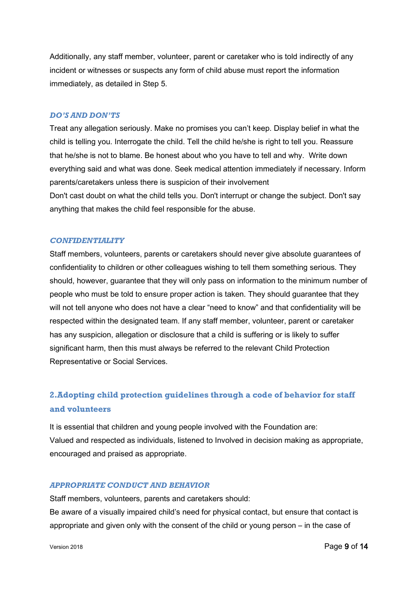Additionally, any staff member, volunteer, parent or caretaker who is told indirectly of any incident or witnesses or suspects any form of child abuse must report the information immediately, as detailed in Step 5.

#### <span id="page-8-0"></span>*DO'S AND DON'TS*

Treat any allegation seriously. Make no promises you can't keep. Display belief in what the child is telling you. Interrogate the child. Tell the child he/she is right to tell you. Reassure that he/she is not to blame. Be honest about who you have to tell and why. Write down everything said and what was done. Seek medical attention immediately if necessary. Inform parents/caretakers unless there is suspicion of their involvement Don't cast doubt on what the child tells you. Don't interrupt or change the subject. Don't say anything that makes the child feel responsible for the abuse.

#### <span id="page-8-1"></span>*CONFIDENTIALITY*

Staff members, volunteers, parents or caretakers should never give absolute guarantees of confidentiality to children or other colleagues wishing to tell them something serious. They should, however, guarantee that they will only pass on information to the minimum number of people who must be told to ensure proper action is taken. They should guarantee that they will not tell anyone who does not have a clear "need to know" and that confidentiality will be respected within the designated team. If any staff member, volunteer, parent or caretaker has any suspicion, allegation or disclosure that a child is suffering or is likely to suffer significant harm, then this must always be referred to the relevant Child Protection Representative or Social Services.

## <span id="page-8-2"></span>**2.Adopting child protection guidelines through a code of behavior for staff and volunteers**

It is essential that children and young people involved with the Foundation are: Valued and respected as individuals, listened to Involved in decision making as appropriate, encouraged and praised as appropriate.

#### <span id="page-8-3"></span>*APPROPRIATE CONDUCT AND BEHAVIOR*

Staff members, volunteers, parents and caretakers should: Be aware of a visually impaired child's need for physical contact, but ensure that contact is appropriate and given only with the consent of the child or young person – in the case of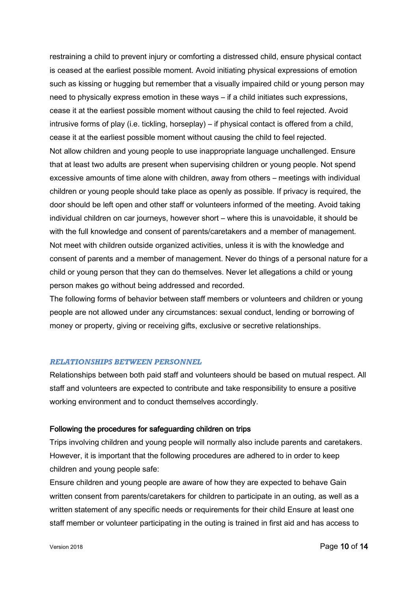restraining a child to prevent injury or comforting a distressed child, ensure physical contact is ceased at the earliest possible moment. Avoid initiating physical expressions of emotion such as kissing or hugging but remember that a visually impaired child or young person may need to physically express emotion in these ways – if a child initiates such expressions, cease it at the earliest possible moment without causing the child to feel rejected. Avoid intrusive forms of play (i.e. tickling, horseplay) – if physical contact is offered from a child, cease it at the earliest possible moment without causing the child to feel rejected. Not allow children and young people to use inappropriate language unchallenged. Ensure that at least two adults are present when supervising children or young people. Not spend excessive amounts of time alone with children, away from others – meetings with individual children or young people should take place as openly as possible. If privacy is required, the door should be left open and other staff or volunteers informed of the meeting. Avoid taking individual children on car journeys, however short – where this is unavoidable, it should be with the full knowledge and consent of parents/caretakers and a member of management. Not meet with children outside organized activities, unless it is with the knowledge and consent of parents and a member of management. Never do things of a personal nature for a child or young person that they can do themselves. Never let allegations a child or young person makes go without being addressed and recorded.

The following forms of behavior between staff members or volunteers and children or young people are not allowed under any circumstances: sexual conduct, lending or borrowing of money or property, giving or receiving gifts, exclusive or secretive relationships.

#### <span id="page-9-0"></span>*RELATIONSHIPS BETWEEN PERSONNEL*

Relationships between both paid staff and volunteers should be based on mutual respect. All staff and volunteers are expected to contribute and take responsibility to ensure a positive working environment and to conduct themselves accordingly.

#### Following the procedures for safeguarding children on trips

Trips involving children and young people will normally also include parents and caretakers. However, it is important that the following procedures are adhered to in order to keep children and young people safe:

Ensure children and young people are aware of how they are expected to behave Gain written consent from parents/caretakers for children to participate in an outing, as well as a written statement of any specific needs or requirements for their child Ensure at least one staff member or volunteer participating in the outing is trained in first aid and has access to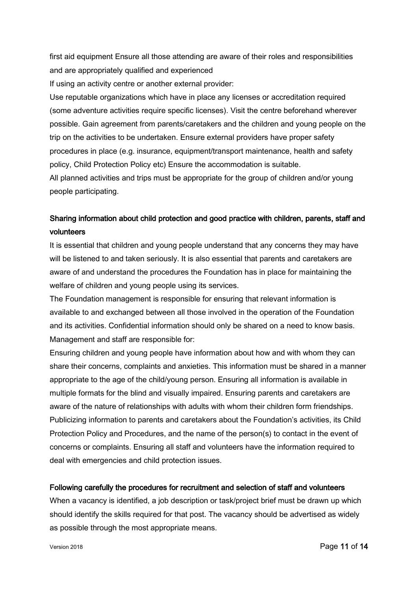first aid equipment Ensure all those attending are aware of their roles and responsibilities and are appropriately qualified and experienced

If using an activity centre or another external provider:

Use reputable organizations which have in place any licenses or accreditation required (some adventure activities require specific licenses). Visit the centre beforehand wherever possible. Gain agreement from parents/caretakers and the children and young people on the trip on the activities to be undertaken. Ensure external providers have proper safety procedures in place (e.g. insurance, equipment/transport maintenance, health and safety policy, Child Protection Policy etc) Ensure the accommodation is suitable. All planned activities and trips must be appropriate for the group of children and/or young people participating.

## Sharing information about child protection and good practice with children, parents, staff and volunteers

It is essential that children and young people understand that any concerns they may have will be listened to and taken seriously. It is also essential that parents and caretakers are aware of and understand the procedures the Foundation has in place for maintaining the welfare of children and young people using its services.

The Foundation management is responsible for ensuring that relevant information is available to and exchanged between all those involved in the operation of the Foundation and its activities. Confidential information should only be shared on a need to know basis. Management and staff are responsible for:

Ensuring children and young people have information about how and with whom they can share their concerns, complaints and anxieties. This information must be shared in a manner appropriate to the age of the child/young person. Ensuring all information is available in multiple formats for the blind and visually impaired. Ensuring parents and caretakers are aware of the nature of relationships with adults with whom their children form friendships. Publicizing information to parents and caretakers about the Foundation's activities, its Child Protection Policy and Procedures, and the name of the person(s) to contact in the event of concerns or complaints. Ensuring all staff and volunteers have the information required to deal with emergencies and child protection issues.

#### Following carefully the procedures for recruitment and selection of staff and volunteers

When a vacancy is identified, a job description or task/project brief must be drawn up which should identify the skills required for that post. The vacancy should be advertised as widely as possible through the most appropriate means.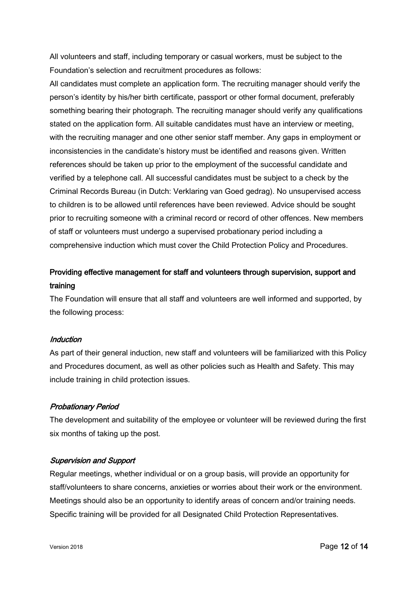All volunteers and staff, including temporary or casual workers, must be subject to the Foundation's selection and recruitment procedures as follows:

All candidates must complete an application form. The recruiting manager should verify the person's identity by his/her birth certificate, passport or other formal document, preferably something bearing their photograph. The recruiting manager should verify any qualifications stated on the application form. All suitable candidates must have an interview or meeting, with the recruiting manager and one other senior staff member. Any gaps in employment or inconsistencies in the candidate's history must be identified and reasons given. Written references should be taken up prior to the employment of the successful candidate and verified by a telephone call. All successful candidates must be subject to a check by the Criminal Records Bureau (in Dutch: Verklaring van Goed gedrag). No unsupervised access to children is to be allowed until references have been reviewed. Advice should be sought prior to recruiting someone with a criminal record or record of other offences. New members of staff or volunteers must undergo a supervised probationary period including a comprehensive induction which must cover the Child Protection Policy and Procedures.

## Providing effective management for staff and volunteers through supervision, support and training

The Foundation will ensure that all staff and volunteers are well informed and supported, by the following process:

#### Induction

As part of their general induction, new staff and volunteers will be familiarized with this Policy and Procedures document, as well as other policies such as Health and Safety. This may include training in child protection issues.

#### Probationary Period

The development and suitability of the employee or volunteer will be reviewed during the first six months of taking up the post.

#### Supervision and Support

Regular meetings, whether individual or on a group basis, will provide an opportunity for staff/volunteers to share concerns, anxieties or worries about their work or the environment. Meetings should also be an opportunity to identify areas of concern and/or training needs. Specific training will be provided for all Designated Child Protection Representatives.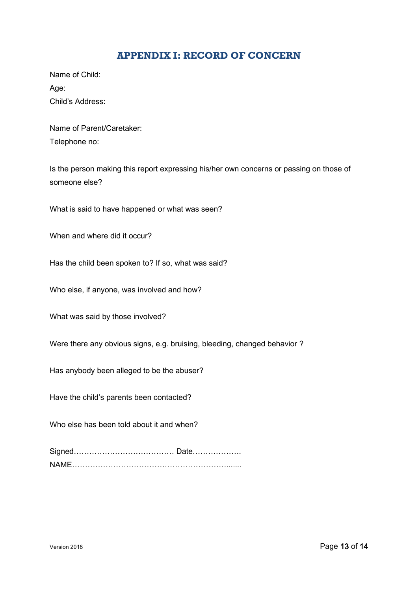### **APPENDIX I: RECORD OF CONCERN**

<span id="page-12-0"></span>Name of Child: Age: Child's Address:

Name of Parent/Caretaker: Telephone no:

Is the person making this report expressing his/her own concerns or passing on those of someone else?

What is said to have happened or what was seen?

When and where did it occur?

Has the child been spoken to? If so, what was said?

Who else, if anyone, was involved and how?

What was said by those involved?

Were there any obvious signs, e.g. bruising, bleeding, changed behavior ?

Has anybody been alleged to be the abuser?

Have the child's parents been contacted?

Who else has been told about it and when?